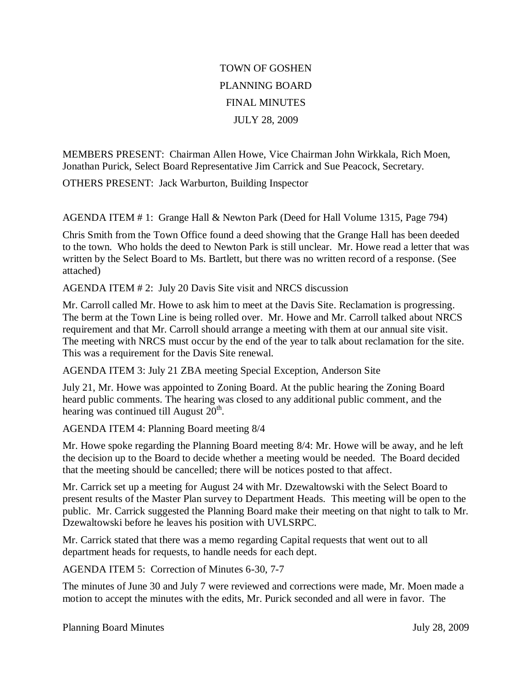## TOWN OF GOSHEN PLANNING BOARD FINAL MINUTES JULY 28, 2009

MEMBERS PRESENT: Chairman Allen Howe, Vice Chairman John Wirkkala, Rich Moen, Jonathan Purick, Select Board Representative Jim Carrick and Sue Peacock, Secretary.

OTHERS PRESENT: Jack Warburton, Building Inspector

AGENDA ITEM # 1: Grange Hall & Newton Park (Deed for Hall Volume 1315, Page 794)

Chris Smith from the Town Office found a deed showing that the Grange Hall has been deeded to the town. Who holds the deed to Newton Park is still unclear. Mr. Howe read a letter that was written by the Select Board to Ms. Bartlett, but there was no written record of a response. (See attached)

AGENDA ITEM # 2: July 20 Davis Site visit and NRCS discussion

Mr. Carroll called Mr. Howe to ask him to meet at the Davis Site. Reclamation is progressing. The berm at the Town Line is being rolled over. Mr. Howe and Mr. Carroll talked about NRCS requirement and that Mr. Carroll should arrange a meeting with them at our annual site visit. The meeting with NRCS must occur by the end of the year to talk about reclamation for the site. This was a requirement for the Davis Site renewal.

AGENDA ITEM 3: July 21 ZBA meeting Special Exception, Anderson Site

July 21, Mr. Howe was appointed to Zoning Board. At the public hearing the Zoning Board heard public comments. The hearing was closed to any additional public comment, and the hearing was continued till August  $20<sup>th</sup>$ .

AGENDA ITEM 4: Planning Board meeting 8/4

Mr. Howe spoke regarding the Planning Board meeting 8/4: Mr. Howe will be away, and he left the decision up to the Board to decide whether a meeting would be needed. The Board decided that the meeting should be cancelled; there will be notices posted to that affect.

Mr. Carrick set up a meeting for August 24 with Mr. Dzewaltowski with the Select Board to present results of the Master Plan survey to Department Heads. This meeting will be open to the public. Mr. Carrick suggested the Planning Board make their meeting on that night to talk to Mr. Dzewaltowski before he leaves his position with UVLSRPC.

Mr. Carrick stated that there was a memo regarding Capital requests that went out to all department heads for requests, to handle needs for each dept.

AGENDA ITEM 5: Correction of Minutes 6-30, 7-7

The minutes of June 30 and July 7 were reviewed and corrections were made, Mr. Moen made a motion to accept the minutes with the edits, Mr. Purick seconded and all were in favor. The